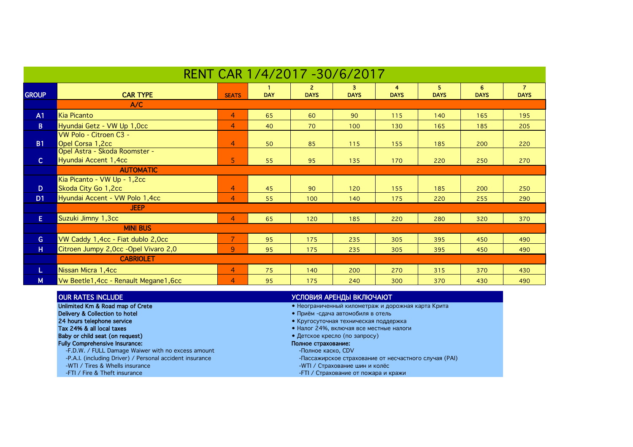| RENT CAR 1/4/2017 -30/6/2017 |                                                       |                |            |                             |                  |                  |                   |                  |                               |  |
|------------------------------|-------------------------------------------------------|----------------|------------|-----------------------------|------------------|------------------|-------------------|------------------|-------------------------------|--|
| <b>GROUP</b>                 | <b>CAR TYPE</b>                                       | <b>SEATS</b>   | <b>DAY</b> | $\mathbf{2}$<br><b>DAYS</b> | 3<br><b>DAYS</b> | 4<br><b>DAYS</b> | 5.<br><b>DAYS</b> | 6<br><b>DAYS</b> | $\overline{7}$<br><b>DAYS</b> |  |
|                              | A/C                                                   |                |            |                             |                  |                  |                   |                  |                               |  |
| A1                           | Kia Picanto                                           | $\overline{4}$ | 65         | 60                          | 90               | 115              | 140               | 165              | 195                           |  |
| B                            | Hyundai Getz - VW Up 1,0cc                            | $\overline{4}$ | 40         | 70                          | 100              | 130              | 165               | 185              | 205                           |  |
|                              | VW Polo - Citroen C3 -                                |                |            |                             |                  |                  |                   |                  |                               |  |
| <b>B1</b>                    | Opel Corsa 1,2cc                                      | $\overline{4}$ | 50         | 85                          | 115              | 155              | 185               | 200              | 220                           |  |
|                              | Opel Astra - Skoda Roomster -<br>Hyundai Accent 1,4cc |                |            |                             |                  |                  |                   |                  |                               |  |
| $\mathsf{C}$                 |                                                       | 5              | 55         | 95                          | 135              | 170              | 220               | 250              | 270                           |  |
|                              | <b>AUTOMATIC</b>                                      |                |            |                             |                  |                  |                   |                  |                               |  |
| D                            | Kia Picanto - VW Up - 1,2cc<br>Skoda City Go 1,2cc    | $\overline{4}$ | 45         | 90                          | 120              |                  | 185               |                  | 250                           |  |
|                              | Hyundai Accent - VW Polo 1,4cc                        | $\overline{4}$ |            |                             |                  | 155              |                   | 200              |                               |  |
| D <sub>1</sub>               | <b>JEEP</b>                                           |                | 55         | 100                         | 140              | 175              | 220               | 255              | 290                           |  |
|                              |                                                       |                |            |                             |                  |                  |                   |                  |                               |  |
| E.                           | Suzuki Jimny 1,3cc                                    | $\overline{4}$ | 65         | 120                         | 185              | 220              | 280               | 320              | 370                           |  |
|                              | <b>MINI BUS</b>                                       |                |            |                             |                  |                  |                   |                  |                               |  |
| G.                           | VW Caddy 1,4cc - Fiat dublo 2,0cc                     | $\overline{7}$ | 95         | 175                         | 235              | 305              | 395               | 450              | 490                           |  |
| H                            | Citroen Jumpy 2,0cc -Opel Vivaro 2,0                  | 9              | 95         | 175                         | 235              | 305              | 395               | 450              | 490                           |  |
|                              | <b>CABRIOLET</b>                                      |                |            |                             |                  |                  |                   |                  |                               |  |
| L                            | Nissan Micra 1,4cc                                    | $\overline{4}$ | 75         | 140                         | 200              | 270              | 315               | 370              | 430                           |  |
| M                            | Vw Beetle1, 4cc - Renault Megane1, 6cc                | $\overline{4}$ | 95         | 175                         | 240              | 300              | 370               | 430              | 490                           |  |

| <b>OUR RATES INCLUDE</b>                                 | УСЛОВИЯ АРЕНДЫ ВКЛЮЧАЮТ                                |  |  |  |  |
|----------------------------------------------------------|--------------------------------------------------------|--|--|--|--|
| Unlimited Km & Road map of Crete                         | • Неограниченный километраж и дорожная карта Крита     |  |  |  |  |
| Delivery & Collection to hotel                           | • Приём - сдача автомобиля в отель                     |  |  |  |  |
| 24 hours telephone service                               | • Кругосуточная техническая поддержка                  |  |  |  |  |
| Tax 24% & all local taxes                                | • Налог 24%, включая все местные налоги                |  |  |  |  |
| Baby or child seat (on request)                          | • Детское кресло (по запросу)                          |  |  |  |  |
| <b>Fully Comprehensive Insurance:</b>                    | Полное страхование:                                    |  |  |  |  |
| -F.D.W. / FULL Damage Waiwer with no excess amount       | -Полное каско, CDV                                     |  |  |  |  |
| -P.A.I. (including Driver) / Personal accident insurance | - Пассажирское страхование от несчастного случая (PAI) |  |  |  |  |
| -WTI / Tires & Whells insurance                          | -WTI / Страхование шин и колёс                         |  |  |  |  |
| -FTI / Fire & Theft insurance                            | -FTI / Страхование от пожара и кражи                   |  |  |  |  |